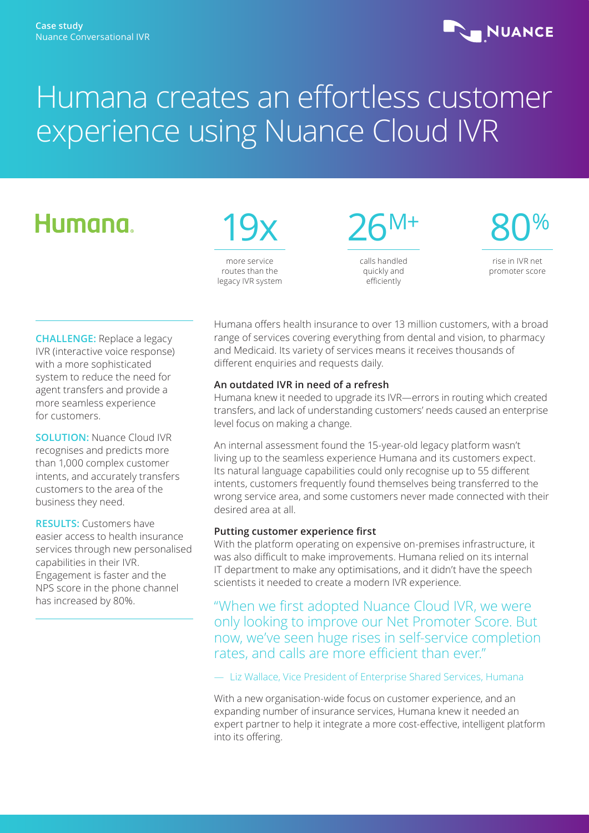### **NUANCE**

# Humana creates an effortless customer experience using Nuance Cloud IVR

## Humana.



routes than the legacy IVR system 26M+ calls handled quickly and

efficiently

80%

rise in IVR net promoter score

**CHALLENGE:** Replace a legacy IVR (interactive voice response) with a more sophisticated system to reduce the need for agent transfers and provide a more seamless experience for customers.

**SOLUTION:** Nuance Cloud IVR recognises and predicts more than 1,000 complex customer intents, and accurately transfers customers to the area of the business they need.

**RESULTS:** Customers have easier access to health insurance services through new personalised capabilities in their IVR. Engagement is faster and the NPS score in the phone channel has increased by 80%.

Humana offers health insurance to over 13 million customers, with a broad range of services covering everything from dental and vision, to pharmacy and Medicaid. Its variety of services means it receives thousands of different enquiries and requests daily.

#### **An outdated IVR in need of a refresh**

Humana knew it needed to upgrade its IVR—errors in routing which created transfers, and lack of understanding customers' needs caused an enterprise level focus on making a change.

An internal assessment found the 15-year-old legacy platform wasn't living up to the seamless experience Humana and its customers expect. Its natural language capabilities could only recognise up to 55 different intents, customers frequently found themselves being transferred to the wrong service area, and some customers never made connected with their desired area at all.

#### **Putting customer experience first**

With the platform operating on expensive on-premises infrastructure, it was also difficult to make improvements. Humana relied on its internal IT department to make any optimisations, and it didn't have the speech scientists it needed to create a modern IVR experience.

"When we first adopted Nuance Cloud IVR, we were only looking to improve our Net Promoter Score. But now, we've seen huge rises in self-service completion rates, and calls are more efficient than ever."

— Liz Wallace, Vice President of Enterprise Shared Services, Humana

With a new organisation-wide focus on customer experience, and an expanding number of insurance services, Humana knew it needed an expert partner to help it integrate a more cost-effective, intelligent platform into its offering.